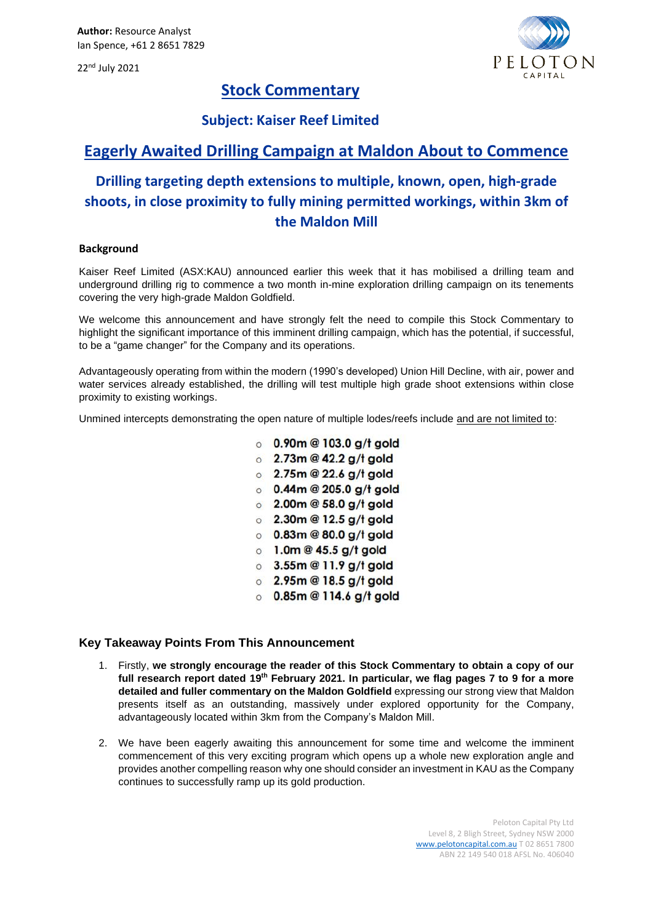22<sup>nd</sup> July 2021



## **Stock Commentary**

### **Subject: Kaiser Reef Limited**

## **Eagerly Awaited Drilling Campaign at Maldon About to Commence**

# **Drilling targeting depth extensions to multiple, known, open, high-grade shoots, in close proximity to fully mining permitted workings, within 3km of the Maldon Mill**

#### **Background**

Kaiser Reef Limited (ASX:KAU) announced earlier this week that it has mobilised a drilling team and underground drilling rig to commence a two month in-mine exploration drilling campaign on its tenements covering the very high-grade Maldon Goldfield.

We welcome this announcement and have strongly felt the need to compile this Stock Commentary to highlight the significant importance of this imminent drilling campaign, which has the potential, if successful, to be a "game changer" for the Company and its operations.

Advantageously operating from within the modern (1990's developed) Union Hill Decline, with air, power and water services already established, the drilling will test multiple high grade shoot extensions within close proximity to existing workings.

Unmined intercepts demonstrating the open nature of multiple lodes/reefs include and are not limited to:

- $0.90m@103.0 q/t$  gold
- $\circ$  2.73m @ 42.2 g/t gold
- $\degree$  2.75m @ 22.6 g/t gold
- $0.44$ m @ 205.0 a/t aold
- $\circ$  2.00m @ 58.0 g/t gold
- $\circ$  2.30m @ 12.5 g/t gold
- $\circ$  0.83m @ 80.0 g/t gold
- $\circ$  1.0m @ 45.5 g/t gold
- $\circ$  3.55m @ 11.9 g/t gold
- $\circ$  2.95m @ 18.5 g/t gold
- $\circ$  0.85m @ 114.6 g/t gold

### **Key Takeaway Points From This Announcement**

- 1. Firstly, **we strongly encourage the reader of this Stock Commentary to obtain a copy of our full research report dated 19th February 2021. In particular, we flag pages 7 to 9 for a more detailed and fuller commentary on the Maldon Goldfield** expressing our strong view that Maldon presents itself as an outstanding, massively under explored opportunity for the Company, advantageously located within 3km from the Company's Maldon Mill.
- 2. We have been eagerly awaiting this announcement for some time and welcome the imminent commencement of this very exciting program which opens up a whole new exploration angle and provides another compelling reason why one should consider an investment in KAU as the Company continues to successfully ramp up its gold production.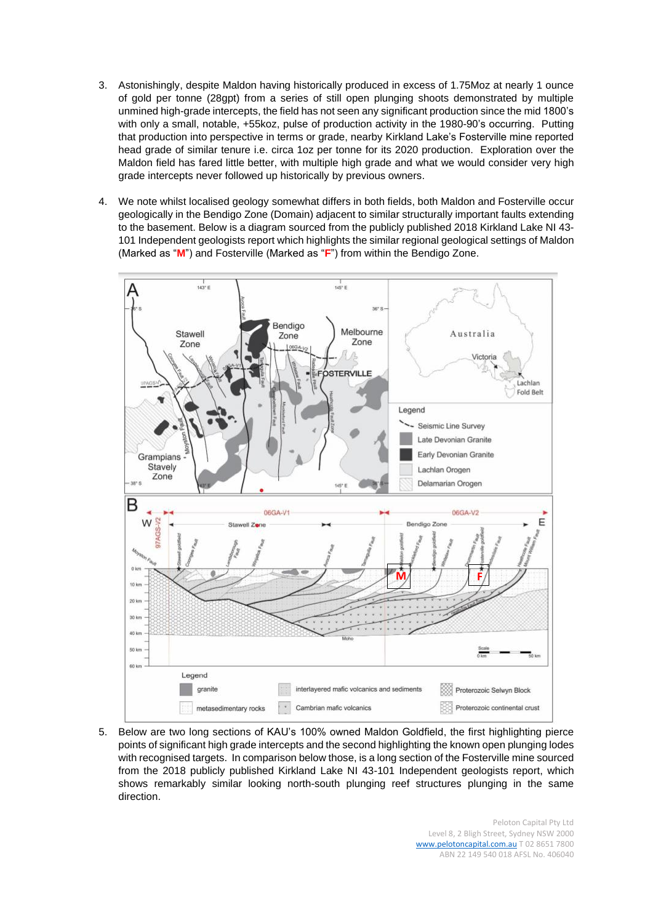- 3. Astonishingly, despite Maldon having historically produced in excess of 1.75Moz at nearly 1 ounce of gold per tonne (28gpt) from a series of still open plunging shoots demonstrated by multiple unmined high-grade intercepts, the field has not seen any significant production since the mid 1800's with only a small, notable, +55koz, pulse of production activity in the 1980-90's occurring. Putting that production into perspective in terms or grade, nearby Kirkland Lake's Fosterville mine reported head grade of similar tenure i.e. circa 1oz per tonne for its 2020 production. Exploration over the Maldon field has fared little better, with multiple high grade and what we would consider very high grade intercepts never followed up historically by previous owners.
- 4. We note whilst localised geology somewhat differs in both fields, both Maldon and Fosterville occur geologically in the Bendigo Zone (Domain) adjacent to similar structurally important faults extending to the basement. Below is a diagram sourced from the publicly published 2018 Kirkland Lake NI 43- 101 Independent geologists report which highlights the similar regional geological settings of Maldon (Marked as "**M**") and Fosterville (Marked as "**F**") from within the Bendigo Zone.



5. Below are two long sections of KAU's 100% owned Maldon Goldfield, the first highlighting pierce points of significant high grade intercepts and the second highlighting the known open plunging lodes with recognised targets. In comparison below those, is a long section of the Fosterville mine sourced from the 2018 publicly published Kirkland Lake NI 43-101 Independent geologists report, which shows remarkably similar looking north-south plunging reef structures plunging in the same direction.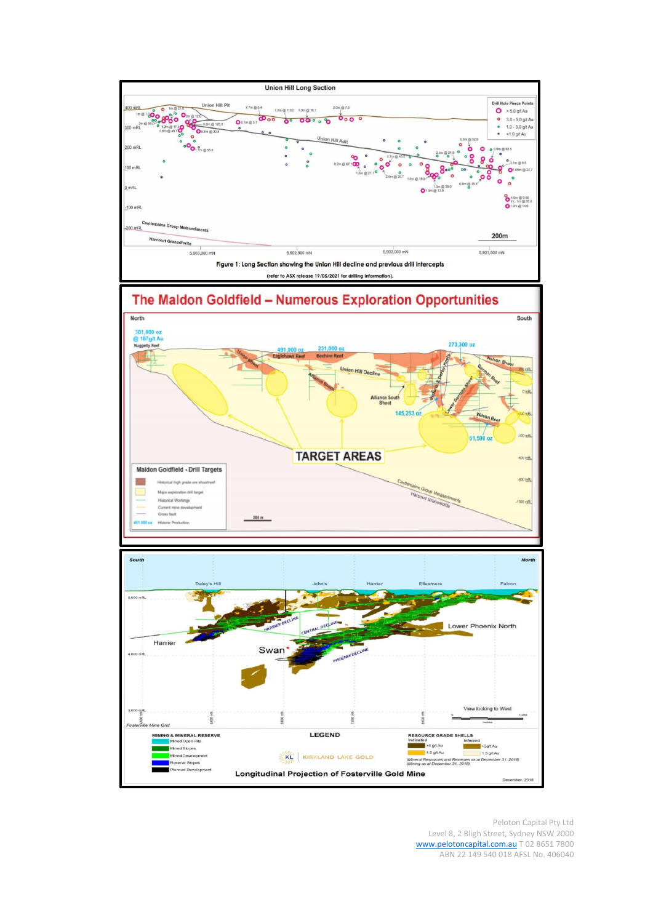

Peloton Capital Pty Ltd Level 8, 2 Bligh Street, Sydney NSW 2000 [www.pelotoncapital.com.au](http://www.pelotoncapital.com.au/) T 02 8651 7800 ABN 22 149 540 018 AFSL No. 406040